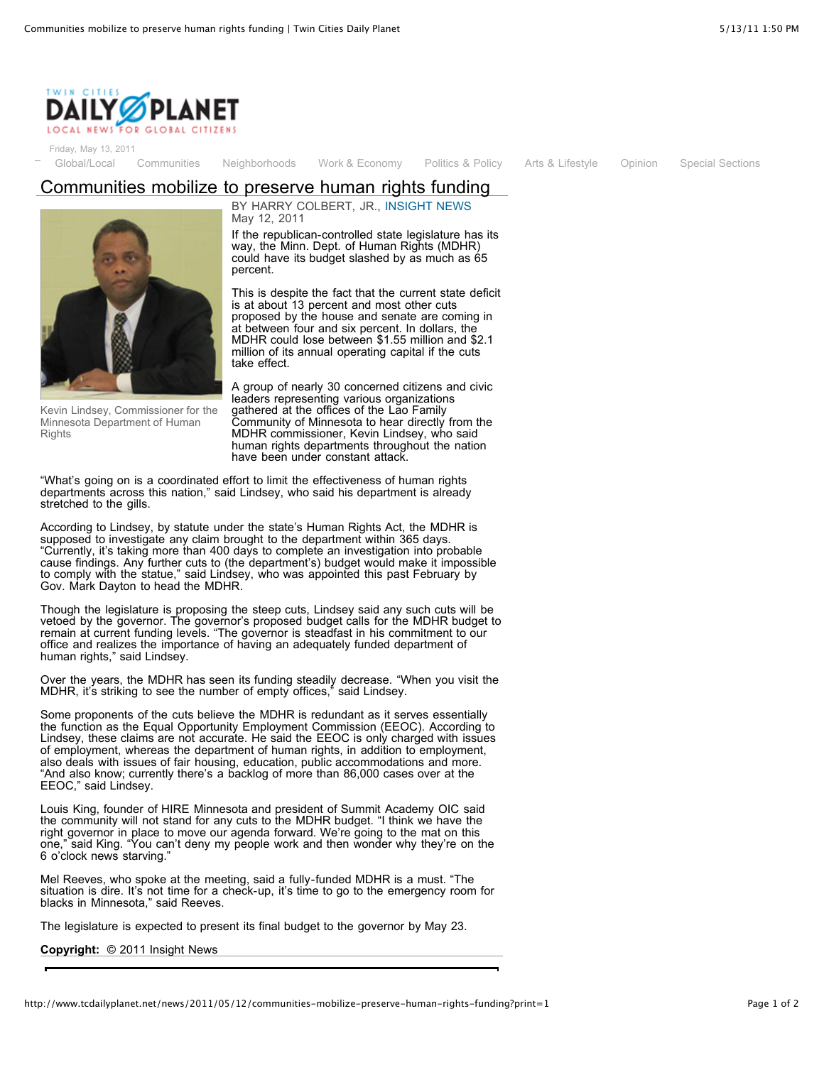

Friday, May 13, 2011

[Global/Local](http://www.tcdailyplanet.net/category/section/global/local) [Communities](http://www.tcdailyplanet.net/category/section/communities) [Neighborhoods](http://www.tcdailyplanet.net/neighborhood) [Work & Economy](http://www.tcdailyplanet.net/category/section/work-economy) [Politics & Policy](http://www.tcdailyplanet.net/category/section/politics-policy) [Arts & Lifestyle](http://www.tcdailyplanet.net/category/section/arts) [Opinion](http://www.tcdailyplanet.net/category/section/opinion) [Special Sections](http://www.tcdailyplanet.net/category/section/opinion)

## Communities mobilize to preserve human rights funding



Kevin Lindsey, Commissioner for the Minnesota Department of Human **Rights** 

BY HARRY COLBERT, JR., [INSIGHT NEWS](http://www.tcdailyplanet.net/partners/insight-news) May 12, 2011

If the republican-controlled state legislature has its way, the Minn. Dept. of Human Rights (MDHR) could have its budget slashed by as much as 65 percent.

This is despite the fact that the current state deficit is at about 13 percent and most other cuts proposed by the house and senate are coming in at between four and six percent. In dollars, the MDHR could lose between \$1.55 million and \$2.1 million of its annual operating capital if the cuts take effect.

A group of nearly 30 concerned citizens and civic leaders representing various organizations gathered at the offices of the Lao Family Community of Minnesota to hear directly from the MDHR commissioner, Kevin Lindsey, who said human rights departments throughout the nation have been under constant attack.

"What's going on is a coordinated effort to limit the effectiveness of human rights departments across this nation," said Lindsey, who said his department is already stretched to the gills.

According to Lindsey, by statute under the state's Human Rights Act, the MDHR is supposed to investigate any claim brought to the department within 365 days. "Currently, it's taking more than 400 days to complete an investigation into probable cause findings. Any further cuts to (the department's) budget would make it impossible to comply with the statue," said Lindsey, who was appointed this past February by Gov. Mark Dayton to head the MDHR.

Though the legislature is proposing the steep cuts, Lindsey said any such cuts will be vetoed by the governor. The governor's proposed budget calls for the MDHR budget to remain at current funding levels. "The governor is steadfast in his commitment to our office and realizes the importance of having an adequately funded department of human rights," said Lindsey.

Over the years, the MDHR has seen its funding steadily decrease. "When you visit the MDHR, it's striking to see the number of empty offices," said Lindsey.

Some proponents of the cuts believe the MDHR is redundant as it serves essentially the function as the Equal Opportunity Employment Commission (EEOC). According to Lindsey, these claims are not accurate. He said the EEOC is only charged with issues of employment, whereas the department of human rights, in addition to employment, also deals with issues of fair housing, education, public accommodations and more. "And also know; currently there's a backlog of more than 86,000 cases over at the EEOC," said Lindsey.

Louis King, founder of HIRE Minnesota and president of Summit Academy OIC said the community will not stand for any cuts to the MDHR budget. "I think we have the right governor in place to move our agenda forward. We're going to the mat on this one," said King. "You can't deny my people work and then wonder why they're on the 6 o'clock news starving."

Mel Reeves, who spoke at the meeting, said a fully-funded MDHR is a must. "The situation is dire. It's not time for a check-up, it's time to go to the emergency room for blacks in Minnesota," said Reeves.

The legislature is expected to present its final budget to the governor by May 23.

**Copyright:** © 2011 Insight News